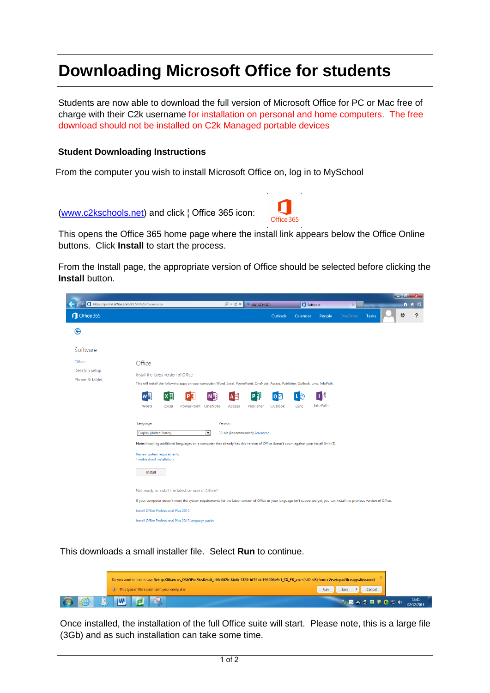## **Downloading Microsoft Office for students**

Students are now able to download the full version of Microsoft Office for PC or Mac free of charge with their C2k username for installation on personal and home computers. The free download should not be installed on C2k Managed portable devices

## **Student Downloading Instructions**

From the com[puter yo](https://www.c2kexchange.net/documentcentre/Documents/EN086%20-%20Downloading%20Microsoft%20Office%20for%20Staff.pdf)u wish to install Microsoft Office on, log in to MySchool

(www.c2kschools.net) and click ¦ Office 365 icon:



This opens the Office 365 home page where the install link appears below the Offic[e Online](https://www.c2kexchange.net/documentcentre/Documents/EN089%20-%20How%20to%20Enable%20Office%20365%20for%20users.pdf)  buttons. Click **Install** to start the process.

From the Install page, the appropriate version of Office should be selected before clicking the **Install** [button.](http://www.c2kschools.net/) 

|                                               |                                                                                                                                      |            |                                                      |                      |                |                               |           |          |                                                                                                                                           |                                                                                                                                                                              |              | - 01 | x     |
|-----------------------------------------------|--------------------------------------------------------------------------------------------------------------------------------------|------------|------------------------------------------------------|----------------------|----------------|-------------------------------|-----------|----------|-------------------------------------------------------------------------------------------------------------------------------------------|------------------------------------------------------------------------------------------------------------------------------------------------------------------------------|--------------|------|-------|
| https://portal.office.com/OLS/MySoftware.aspx |                                                                                                                                      |            |                                                      |                      | $Q - C \times$ | MY-SCHOOL                     |           |          | Software                                                                                                                                  | $\times$                                                                                                                                                                     |              |      | ₩ ₩ ₩ |
| Office 365                                    |                                                                                                                                      |            |                                                      |                      |                |                               | Outlook   | Calendar | People                                                                                                                                    | OneDrive                                                                                                                                                                     | <b>Tasks</b> | Ö    | ?     |
| ❸                                             |                                                                                                                                      |            |                                                      |                      |                |                               |           |          |                                                                                                                                           |                                                                                                                                                                              |              |      |       |
| Software                                      |                                                                                                                                      |            |                                                      |                      |                |                               |           |          |                                                                                                                                           |                                                                                                                                                                              |              |      |       |
| Office                                        | Office                                                                                                                               |            |                                                      |                      |                |                               |           |          |                                                                                                                                           |                                                                                                                                                                              |              |      |       |
| Desktop setup                                 | Install the latest version of Office                                                                                                 |            |                                                      |                      |                |                               |           |          |                                                                                                                                           |                                                                                                                                                                              |              |      |       |
| Phone & tablet                                | This will install the following apps on your computer: Word, Excel, PowerPoint, OneNote, Access, Publisher, Outlook, Lync, InfoPath. |            |                                                      |                      |                |                               |           |          |                                                                                                                                           |                                                                                                                                                                              |              |      |       |
|                                               | w≣                                                                                                                                   | $x \equiv$ |                                                      |                      | A≣             | 可                             | $\bullet$ |          | Πđ                                                                                                                                        |                                                                                                                                                                              |              |      |       |
|                                               | Word                                                                                                                                 | Excel      | PowerPoint OneNote                                   |                      | Access         | Publisher                     | Outlook   | Lync     | InfoPath                                                                                                                                  |                                                                                                                                                                              |              |      |       |
|                                               |                                                                                                                                      |            |                                                      |                      |                |                               |           |          |                                                                                                                                           |                                                                                                                                                                              |              |      |       |
|                                               | Language:                                                                                                                            |            |                                                      |                      | Version:       |                               |           |          |                                                                                                                                           |                                                                                                                                                                              |              |      |       |
|                                               | <b>English (United States)</b>                                                                                                       |            |                                                      | $\blacktriangledown$ |                | 32-bit (Recommended) Advanced |           |          |                                                                                                                                           |                                                                                                                                                                              |              |      |       |
|                                               |                                                                                                                                      |            |                                                      |                      |                |                               |           |          | Note: Installing additional languages on a computer that already has this version of Office doesn't count against your install limit (5). |                                                                                                                                                                              |              |      |       |
|                                               | Review system requirements<br>Troubleshoot installation                                                                              |            |                                                      |                      |                |                               |           |          |                                                                                                                                           |                                                                                                                                                                              |              |      |       |
|                                               | Install                                                                                                                              |            |                                                      |                      |                |                               |           |          |                                                                                                                                           |                                                                                                                                                                              |              |      |       |
|                                               |                                                                                                                                      |            | Not ready to install the latest version of Office?   |                      |                |                               |           |          |                                                                                                                                           |                                                                                                                                                                              |              |      |       |
|                                               |                                                                                                                                      |            |                                                      |                      |                |                               |           |          |                                                                                                                                           | If your computer doesn't meet the system requirements for the latest version of Office or your language isn't supported yet, you can install the previous version of Office. |              |      |       |
|                                               | Install Office Professional Plus 2010                                                                                                |            |                                                      |                      |                |                               |           |          |                                                                                                                                           |                                                                                                                                                                              |              |      |       |
|                                               |                                                                                                                                      |            | Install Office Professional Plus 2010 language packs |                      |                |                               |           |          |                                                                                                                                           |                                                                                                                                                                              |              |      |       |
|                                               |                                                                                                                                      |            |                                                      |                      |                |                               |           |          |                                                                                                                                           |                                                                                                                                                                              |              |      |       |

This downloads a small installer file. Select **Run** to continue.

|   |    |            |   |   | Do you want to run or save Setup.X86.en-us_O365ProPlusRetail_c66c002b-8bdb-4320-bf7f-de196206e9c1_TX_PR_exe (1.00 MB) from c2rsetup.officeapps.live.com? |  |  |  |  |  |  |  |  |  |     |      |  |        |                  |                     |  |
|---|----|------------|---|---|----------------------------------------------------------------------------------------------------------------------------------------------------------|--|--|--|--|--|--|--|--|--|-----|------|--|--------|------------------|---------------------|--|
|   |    | <b>COL</b> |   |   | This type of file could harm your computer.                                                                                                              |  |  |  |  |  |  |  |  |  | Run | Save |  | Cancel |                  |                     |  |
| e | T. |            | W | o |                                                                                                                                                          |  |  |  |  |  |  |  |  |  |     |      |  |        | <b>MOASQUODO</b> | 14:41<br>02/12/2014 |  |

Once installed, the installation of the full Office suite will start. Please note, this is a large file (3Gb) and as such installation can take some time.